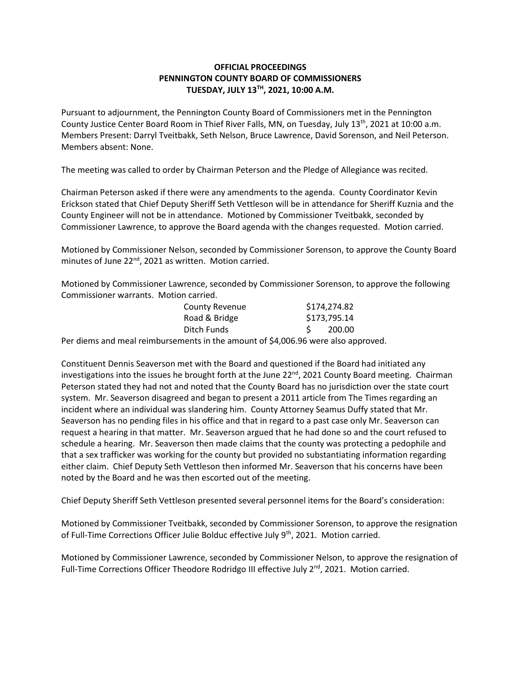## **OFFICIAL PROCEEDINGS PENNINGTON COUNTY BOARD OF COMMISSIONERS TUESDAY, JULY 13TH , 2021, 10:00 A.M.**

Pursuant to adjournment, the Pennington County Board of Commissioners met in the Pennington County Justice Center Board Room in Thief River Falls, MN, on Tuesday, July 13<sup>th</sup>, 2021 at 10:00 a.m. Members Present: Darryl Tveitbakk, Seth Nelson, Bruce Lawrence, David Sorenson, and Neil Peterson. Members absent: None.

The meeting was called to order by Chairman Peterson and the Pledge of Allegiance was recited.

Chairman Peterson asked if there were any amendments to the agenda. County Coordinator Kevin Erickson stated that Chief Deputy Sheriff Seth Vettleson will be in attendance for Sheriff Kuznia and the County Engineer will not be in attendance. Motioned by Commissioner Tveitbakk, seconded by Commissioner Lawrence, to approve the Board agenda with the changes requested. Motion carried.

Motioned by Commissioner Nelson, seconded by Commissioner Sorenson, to approve the County Board minutes of June 22<sup>nd</sup>, 2021 as written. Motion carried.

Motioned by Commissioner Lawrence, seconded by Commissioner Sorenson, to approve the following Commissioner warrants. Motion carried.

| <b>County Revenue</b> | \$174,274.82 |
|-----------------------|--------------|
| Road & Bridge         | \$173,795.14 |
| Ditch Funds           | 200.00       |

Per diems and meal reimbursements in the amount of \$4,006.96 were also approved.

Constituent Dennis Seaverson met with the Board and questioned if the Board had initiated any investigations into the issues he brought forth at the June 22<sup>nd</sup>, 2021 County Board meeting. Chairman Peterson stated they had not and noted that the County Board has no jurisdiction over the state court system. Mr. Seaverson disagreed and began to present a 2011 article from The Times regarding an incident where an individual was slandering him. County Attorney Seamus Duffy stated that Mr. Seaverson has no pending files in his office and that in regard to a past case only Mr. Seaverson can request a hearing in that matter. Mr. Seaverson argued that he had done so and the court refused to schedule a hearing. Mr. Seaverson then made claims that the county was protecting a pedophile and that a sex trafficker was working for the county but provided no substantiating information regarding either claim. Chief Deputy Seth Vettleson then informed Mr. Seaverson that his concerns have been noted by the Board and he was then escorted out of the meeting.

Chief Deputy Sheriff Seth Vettleson presented several personnel items for the Board's consideration:

Motioned by Commissioner Tveitbakk, seconded by Commissioner Sorenson, to approve the resignation of Full-Time Corrections Officer Julie Bolduc effective July 9<sup>th</sup>, 2021. Motion carried.

Motioned by Commissioner Lawrence, seconded by Commissioner Nelson, to approve the resignation of Full-Time Corrections Officer Theodore Rodridgo III effective July 2<sup>nd</sup>, 2021. Motion carried.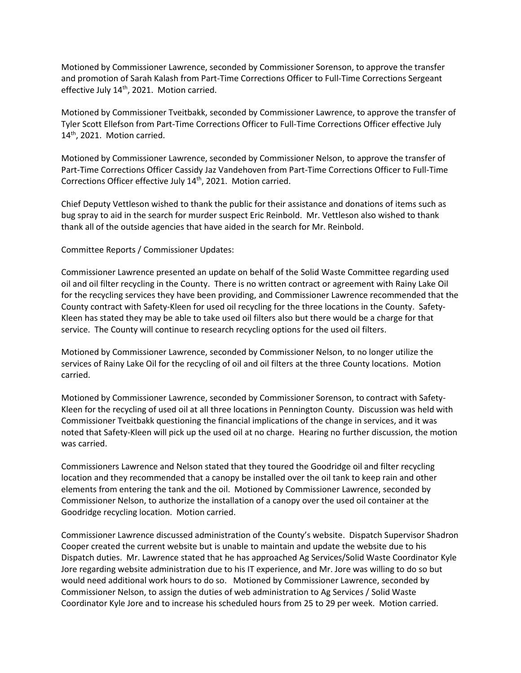Motioned by Commissioner Lawrence, seconded by Commissioner Sorenson, to approve the transfer and promotion of Sarah Kalash from Part-Time Corrections Officer to Full-Time Corrections Sergeant effective July 14<sup>th</sup>, 2021. Motion carried.

Motioned by Commissioner Tveitbakk, seconded by Commissioner Lawrence, to approve the transfer of Tyler Scott Ellefson from Part-Time Corrections Officer to Full-Time Corrections Officer effective July 14<sup>th</sup>, 2021. Motion carried.

Motioned by Commissioner Lawrence, seconded by Commissioner Nelson, to approve the transfer of Part-Time Corrections Officer Cassidy Jaz Vandehoven from Part-Time Corrections Officer to Full-Time Corrections Officer effective July 14<sup>th</sup>, 2021. Motion carried.

Chief Deputy Vettleson wished to thank the public for their assistance and donations of items such as bug spray to aid in the search for murder suspect Eric Reinbold. Mr. Vettleson also wished to thank thank all of the outside agencies that have aided in the search for Mr. Reinbold.

Committee Reports / Commissioner Updates:

Commissioner Lawrence presented an update on behalf of the Solid Waste Committee regarding used oil and oil filter recycling in the County. There is no written contract or agreement with Rainy Lake Oil for the recycling services they have been providing, and Commissioner Lawrence recommended that the County contract with Safety-Kleen for used oil recycling for the three locations in the County. Safety-Kleen has stated they may be able to take used oil filters also but there would be a charge for that service. The County will continue to research recycling options for the used oil filters.

Motioned by Commissioner Lawrence, seconded by Commissioner Nelson, to no longer utilize the services of Rainy Lake Oil for the recycling of oil and oil filters at the three County locations. Motion carried.

Motioned by Commissioner Lawrence, seconded by Commissioner Sorenson, to contract with Safety-Kleen for the recycling of used oil at all three locations in Pennington County. Discussion was held with Commissioner Tveitbakk questioning the financial implications of the change in services, and it was noted that Safety-Kleen will pick up the used oil at no charge. Hearing no further discussion, the motion was carried.

Commissioners Lawrence and Nelson stated that they toured the Goodridge oil and filter recycling location and they recommended that a canopy be installed over the oil tank to keep rain and other elements from entering the tank and the oil. Motioned by Commissioner Lawrence, seconded by Commissioner Nelson, to authorize the installation of a canopy over the used oil container at the Goodridge recycling location. Motion carried.

Commissioner Lawrence discussed administration of the County's website. Dispatch Supervisor Shadron Cooper created the current website but is unable to maintain and update the website due to his Dispatch duties. Mr. Lawrence stated that he has approached Ag Services/Solid Waste Coordinator Kyle Jore regarding website administration due to his IT experience, and Mr. Jore was willing to do so but would need additional work hours to do so. Motioned by Commissioner Lawrence, seconded by Commissioner Nelson, to assign the duties of web administration to Ag Services / Solid Waste Coordinator Kyle Jore and to increase his scheduled hours from 25 to 29 per week. Motion carried.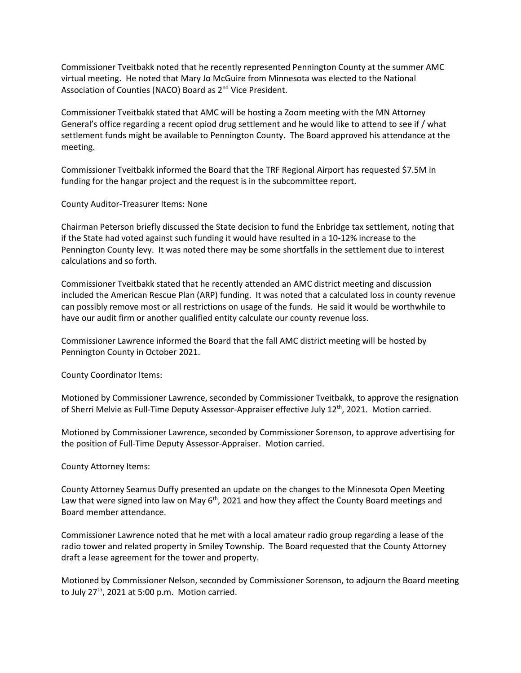Commissioner Tveitbakk noted that he recently represented Pennington County at the summer AMC virtual meeting. He noted that Mary Jo McGuire from Minnesota was elected to the National Association of Counties (NACO) Board as 2<sup>nd</sup> Vice President.

Commissioner Tveitbakk stated that AMC will be hosting a Zoom meeting with the MN Attorney General's office regarding a recent opiod drug settlement and he would like to attend to see if / what settlement funds might be available to Pennington County. The Board approved his attendance at the meeting.

Commissioner Tveitbakk informed the Board that the TRF Regional Airport has requested \$7.5M in funding for the hangar project and the request is in the subcommittee report.

County Auditor-Treasurer Items: None

Chairman Peterson briefly discussed the State decision to fund the Enbridge tax settlement, noting that if the State had voted against such funding it would have resulted in a 10-12% increase to the Pennington County levy. It was noted there may be some shortfalls in the settlement due to interest calculations and so forth.

Commissioner Tveitbakk stated that he recently attended an AMC district meeting and discussion included the American Rescue Plan (ARP) funding. It was noted that a calculated loss in county revenue can possibly remove most or all restrictions on usage of the funds. He said it would be worthwhile to have our audit firm or another qualified entity calculate our county revenue loss.

Commissioner Lawrence informed the Board that the fall AMC district meeting will be hosted by Pennington County in October 2021.

County Coordinator Items:

Motioned by Commissioner Lawrence, seconded by Commissioner Tveitbakk, to approve the resignation of Sherri Melvie as Full-Time Deputy Assessor-Appraiser effective July 12<sup>th</sup>, 2021. Motion carried.

Motioned by Commissioner Lawrence, seconded by Commissioner Sorenson, to approve advertising for the position of Full-Time Deputy Assessor-Appraiser. Motion carried.

County Attorney Items:

County Attorney Seamus Duffy presented an update on the changes to the Minnesota Open Meeting Law that were signed into law on May  $6<sup>th</sup>$ , 2021 and how they affect the County Board meetings and Board member attendance.

Commissioner Lawrence noted that he met with a local amateur radio group regarding a lease of the radio tower and related property in Smiley Township. The Board requested that the County Attorney draft a lease agreement for the tower and property.

Motioned by Commissioner Nelson, seconded by Commissioner Sorenson, to adjourn the Board meeting to July 27<sup>th</sup>, 2021 at 5:00 p.m. Motion carried.